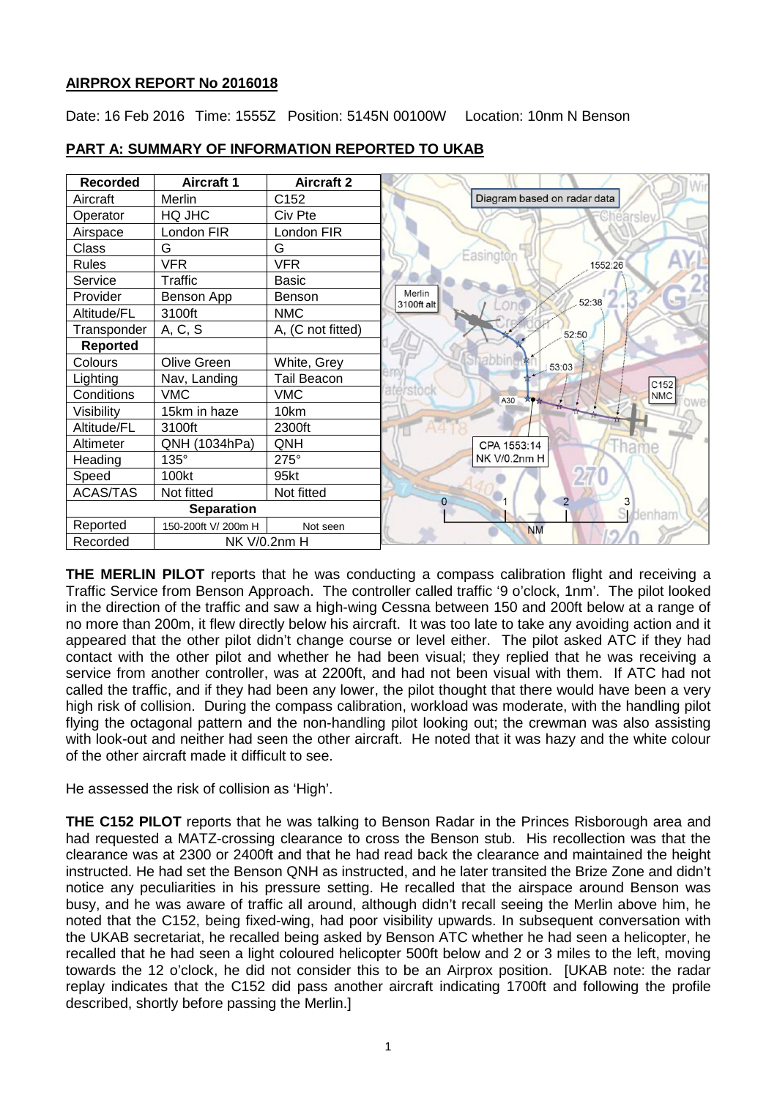# **AIRPROX REPORT No 2016018**

Date: 16 Feb 2016 Time: 1555Z Position: 5145N 00100W Location: 10nm N Benson



# **PART A: SUMMARY OF INFORMATION REPORTED TO UKAB**

**THE MERLIN PILOT** reports that he was conducting a compass calibration flight and receiving a Traffic Service from Benson Approach. The controller called traffic '9 o'clock, 1nm'. The pilot looked in the direction of the traffic and saw a high-wing Cessna between 150 and 200ft below at a range of no more than 200m, it flew directly below his aircraft. It was too late to take any avoiding action and it appeared that the other pilot didn't change course or level either. The pilot asked ATC if they had contact with the other pilot and whether he had been visual; they replied that he was receiving a service from another controller, was at 2200ft, and had not been visual with them. If ATC had not called the traffic, and if they had been any lower, the pilot thought that there would have been a very high risk of collision. During the compass calibration, workload was moderate, with the handling pilot flying the octagonal pattern and the non-handling pilot looking out; the crewman was also assisting with look-out and neither had seen the other aircraft. He noted that it was hazy and the white colour of the other aircraft made it difficult to see.

He assessed the risk of collision as 'High'.

**THE C152 PILOT** reports that he was talking to Benson Radar in the Princes Risborough area and had requested a MATZ-crossing clearance to cross the Benson stub. His recollection was that the clearance was at 2300 or 2400ft and that he had read back the clearance and maintained the height instructed. He had set the Benson QNH as instructed, and he later transited the Brize Zone and didn't notice any peculiarities in his pressure setting. He recalled that the airspace around Benson was busy, and he was aware of traffic all around, although didn't recall seeing the Merlin above him, he noted that the C152, being fixed-wing, had poor visibility upwards. In subsequent conversation with the UKAB secretariat, he recalled being asked by Benson ATC whether he had seen a helicopter, he recalled that he had seen a light coloured helicopter 500ft below and 2 or 3 miles to the left, moving towards the 12 o'clock, he did not consider this to be an Airprox position. [UKAB note: the radar replay indicates that the C152 did pass another aircraft indicating 1700ft and following the profile described, shortly before passing the Merlin.]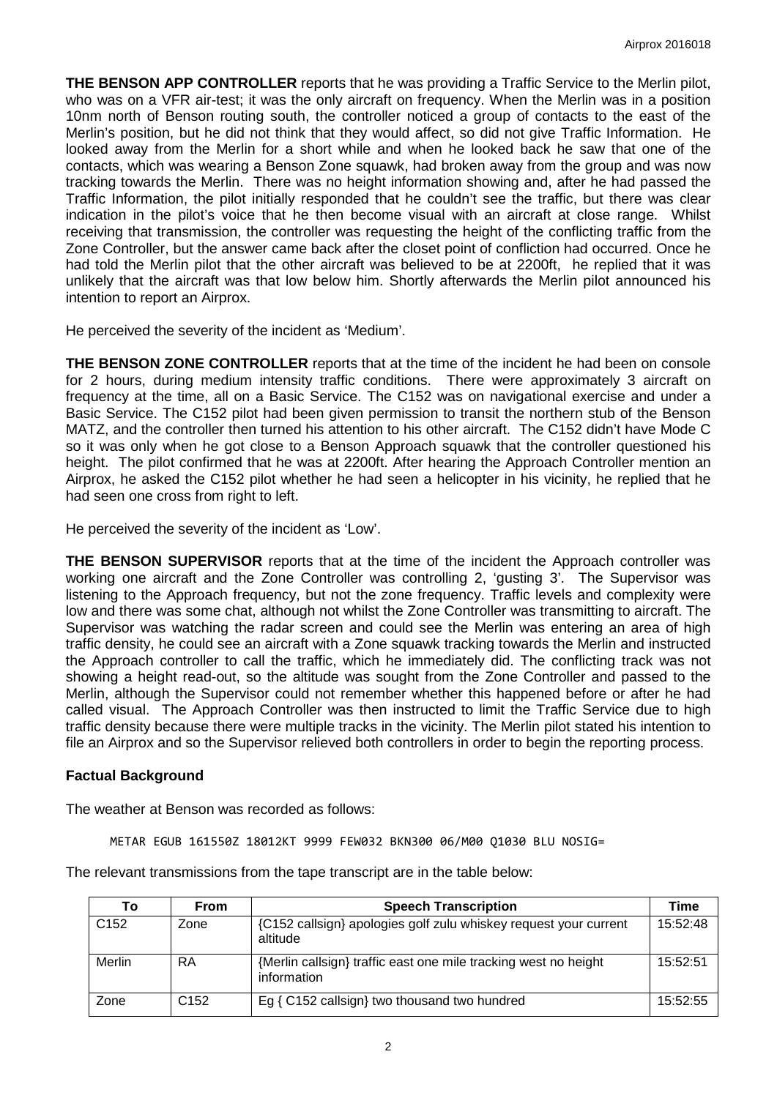**THE BENSON APP CONTROLLER** reports that he was providing a Traffic Service to the Merlin pilot, who was on a VFR air-test; it was the only aircraft on frequency. When the Merlin was in a position 10nm north of Benson routing south, the controller noticed a group of contacts to the east of the Merlin's position, but he did not think that they would affect, so did not give Traffic Information. He looked away from the Merlin for a short while and when he looked back he saw that one of the contacts, which was wearing a Benson Zone squawk, had broken away from the group and was now tracking towards the Merlin. There was no height information showing and, after he had passed the Traffic Information, the pilot initially responded that he couldn't see the traffic, but there was clear indication in the pilot's voice that he then become visual with an aircraft at close range. Whilst receiving that transmission, the controller was requesting the height of the conflicting traffic from the Zone Controller, but the answer came back after the closet point of confliction had occurred. Once he had told the Merlin pilot that the other aircraft was believed to be at 2200ft, he replied that it was unlikely that the aircraft was that low below him. Shortly afterwards the Merlin pilot announced his intention to report an Airprox.

He perceived the severity of the incident as 'Medium'.

**THE BENSON ZONE CONTROLLER** reports that at the time of the incident he had been on console for 2 hours, during medium intensity traffic conditions. There were approximately 3 aircraft on frequency at the time, all on a Basic Service. The C152 was on navigational exercise and under a Basic Service. The C152 pilot had been given permission to transit the northern stub of the Benson MATZ, and the controller then turned his attention to his other aircraft. The C152 didn't have Mode C so it was only when he got close to a Benson Approach squawk that the controller questioned his height. The pilot confirmed that he was at 2200ft. After hearing the Approach Controller mention an Airprox, he asked the C152 pilot whether he had seen a helicopter in his vicinity, he replied that he had seen one cross from right to left.

He perceived the severity of the incident as 'Low'.

**THE BENSON SUPERVISOR** reports that at the time of the incident the Approach controller was working one aircraft and the Zone Controller was controlling 2, 'gusting 3'. The Supervisor was listening to the Approach frequency, but not the zone frequency. Traffic levels and complexity were low and there was some chat, although not whilst the Zone Controller was transmitting to aircraft. The Supervisor was watching the radar screen and could see the Merlin was entering an area of high traffic density, he could see an aircraft with a Zone squawk tracking towards the Merlin and instructed the Approach controller to call the traffic, which he immediately did. The conflicting track was not showing a height read-out, so the altitude was sought from the Zone Controller and passed to the Merlin, although the Supervisor could not remember whether this happened before or after he had called visual. The Approach Controller was then instructed to limit the Traffic Service due to high traffic density because there were multiple tracks in the vicinity. The Merlin pilot stated his intention to file an Airprox and so the Supervisor relieved both controllers in order to begin the reporting process.

### **Factual Background**

The weather at Benson was recorded as follows:

METAR EGUB 161550Z 18012KT 9999 FEW032 BKN300 06/M00 Q1030 BLU NOSIG=

The relevant transmissions from the tape transcript are in the table below:

| Тο               | <b>From</b>      | <b>Speech Transcription</b>                                                    | Time     |
|------------------|------------------|--------------------------------------------------------------------------------|----------|
| C <sub>152</sub> | Zone             | {C152 callsign} apologies golf zulu whiskey request your current<br>altitude   | 15:52:48 |
| Merlin           | RA               | {Merlin callsign} traffic east one mile tracking west no height<br>information | 15:52:51 |
| Zone             | C <sub>152</sub> | Eg { C152 callsign} two thousand two hundred                                   | 15:52:55 |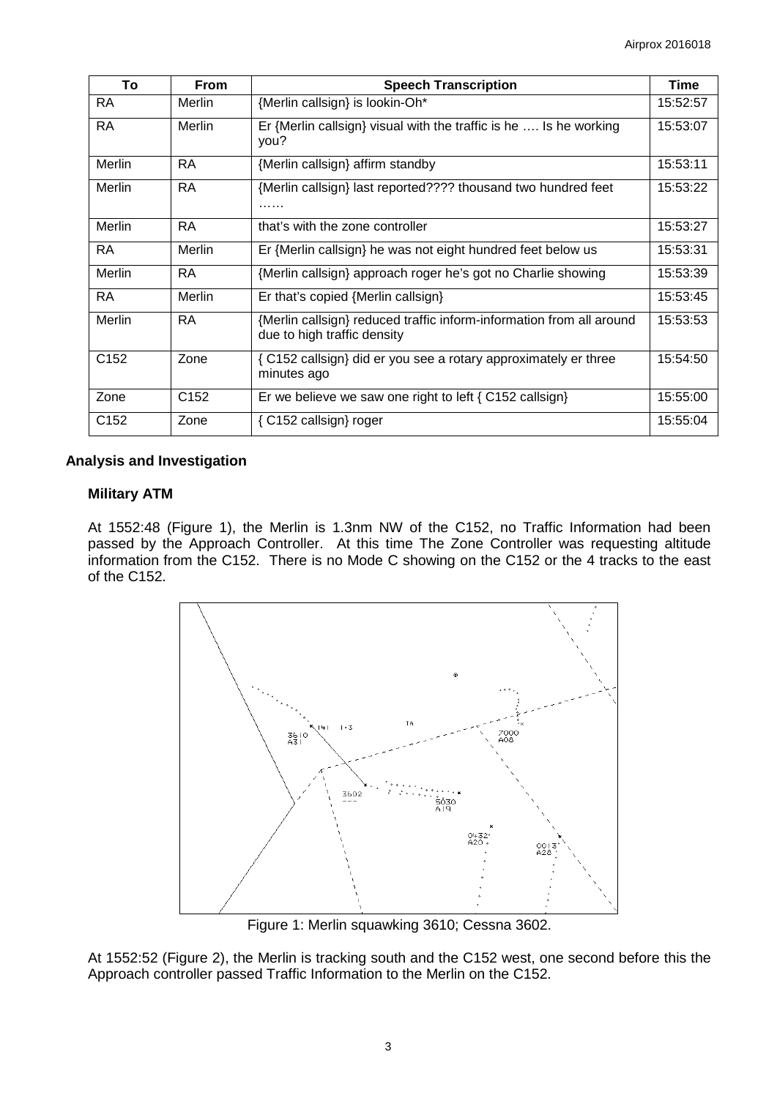| To               | <b>From</b>      | <b>Speech Transcription</b>                                                                         | <b>Time</b> |
|------------------|------------------|-----------------------------------------------------------------------------------------------------|-------------|
| <b>RA</b>        | Merlin           | {Merlin callsign} is lookin-Oh*                                                                     | 15:52:57    |
| <b>RA</b>        | Merlin           | Er {Merlin callsign} visual with the traffic is he  Is he working<br>you?                           | 15:53:07    |
| Merlin           | <b>RA</b>        | {Merlin callsign} affirm standby                                                                    | 15:53:11    |
| Merlin           | <b>RA</b>        | {Merlin callsign} last reported???? thousand two hundred feet<br>.                                  | 15:53:22    |
| Merlin           | <b>RA</b>        | that's with the zone controller                                                                     | 15:53:27    |
| <b>RA</b>        | Merlin           | Er {Merlin callsign} he was not eight hundred feet below us                                         | 15:53:31    |
| Merlin           | <b>RA</b>        | {Merlin callsign} approach roger he's got no Charlie showing                                        | 15:53:39    |
| <b>RA</b>        | Merlin           | Er that's copied {Merlin callsign}                                                                  | 15:53:45    |
| Merlin           | <b>RA</b>        | {Merlin callsign} reduced traffic inform-information from all around<br>due to high traffic density | 15:53:53    |
| C <sub>152</sub> | Zone             | { C152 callsign} did er you see a rotary approximately er three<br>minutes ago                      | 15:54:50    |
| Zone             | C <sub>152</sub> | Er we believe we saw one right to left $\{ C152 \text{ callsign} \}$                                | 15:55:00    |
| C <sub>152</sub> | Zone             | { C152 callsign} roger                                                                              | 15:55:04    |

## **Analysis and Investigation**

# **Military ATM**

At 1552:48 (Figure 1), the Merlin is 1.3nm NW of the C152, no Traffic Information had been passed by the Approach Controller. At this time The Zone Controller was requesting altitude information from the C152. There is no Mode C showing on the C152 or the 4 tracks to the east of the C152.



Figure 1: Merlin squawking 3610; Cessna 3602.

At 1552:52 (Figure 2), the Merlin is tracking south and the C152 west, one second before this the Approach controller passed Traffic Information to the Merlin on the C152.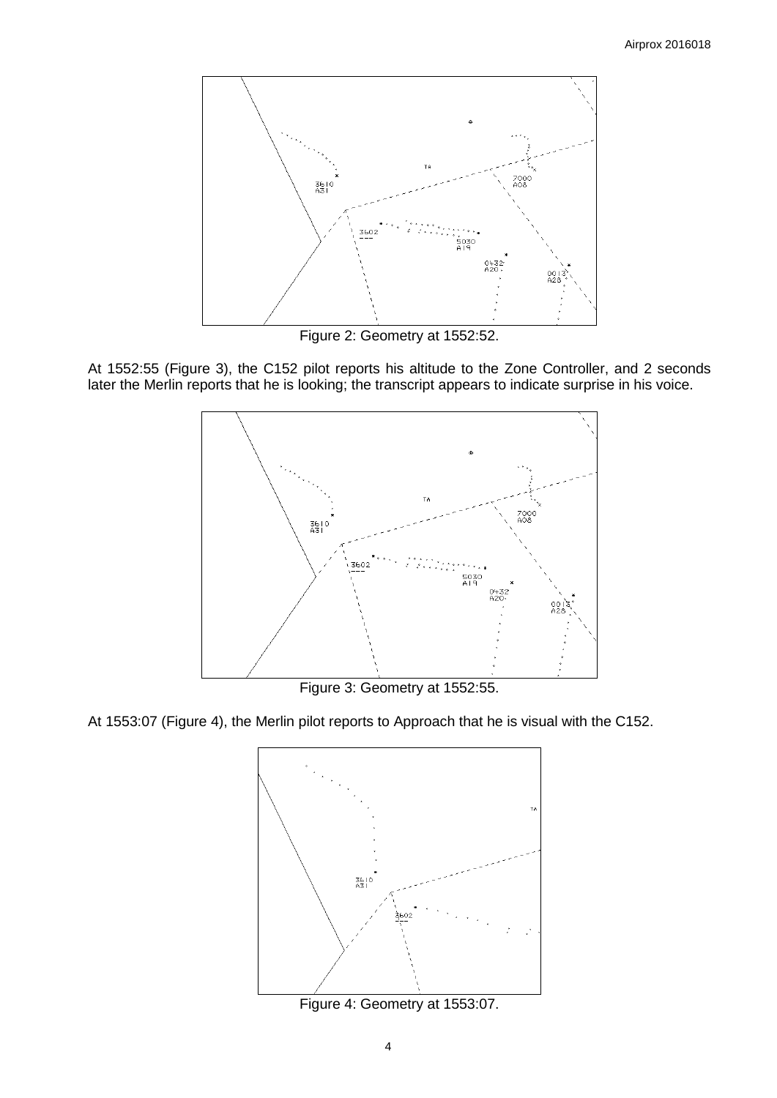

Figure 2: Geometry at 1552:52.

At 1552:55 (Figure 3), the C152 pilot reports his altitude to the Zone Controller, and 2 seconds later the Merlin reports that he is looking; the transcript appears to indicate surprise in his voice.



Figure 3: Geometry at 1552:55.

At 1553:07 (Figure 4), the Merlin pilot reports to Approach that he is visual with the C152.



Figure 4: Geometry at 1553:07.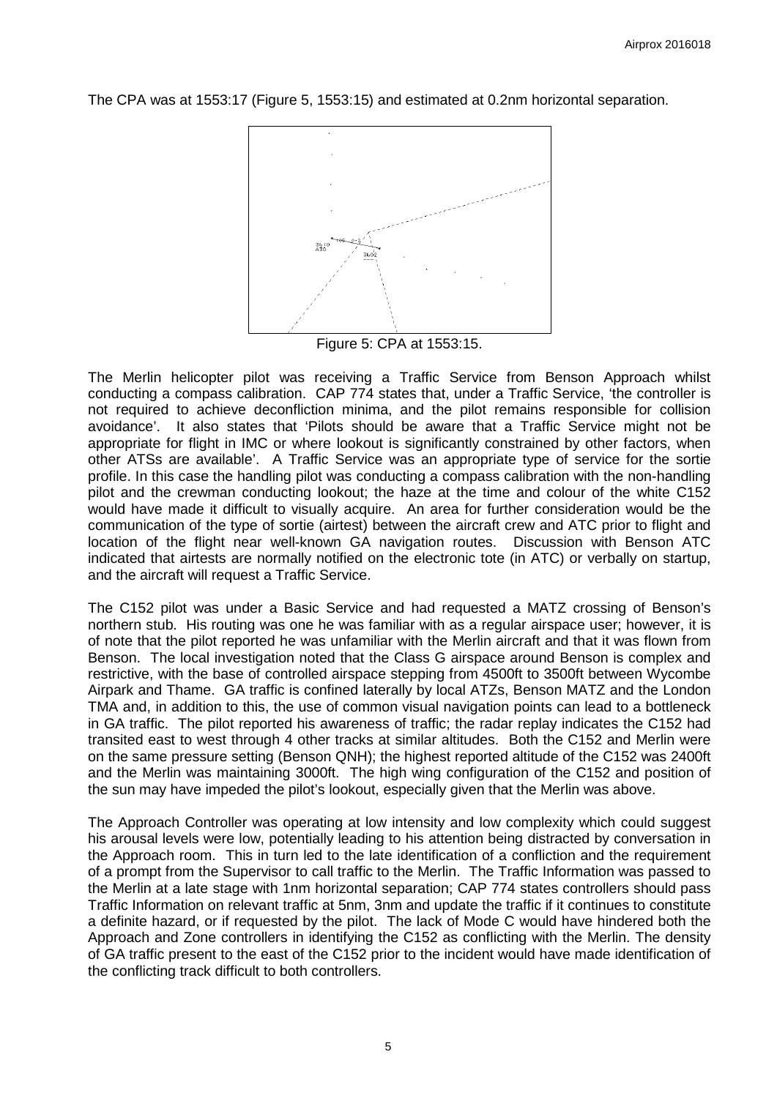The CPA was at 1553:17 (Figure 5, 1553:15) and estimated at 0.2nm horizontal separation.



Figure 5: CPA at 1553:15.

The Merlin helicopter pilot was receiving a Traffic Service from Benson Approach whilst conducting a compass calibration. CAP 774 states that, under a Traffic Service, 'the controller is not required to achieve deconfliction minima, and the pilot remains responsible for collision avoidance'. It also states that 'Pilots should be aware that a Traffic Service might not be appropriate for flight in IMC or where lookout is significantly constrained by other factors, when other ATSs are available'. A Traffic Service was an appropriate type of service for the sortie profile. In this case the handling pilot was conducting a compass calibration with the non-handling pilot and the crewman conducting lookout; the haze at the time and colour of the white C152 would have made it difficult to visually acquire. An area for further consideration would be the communication of the type of sortie (airtest) between the aircraft crew and ATC prior to flight and location of the flight near well-known GA navigation routes. Discussion with Benson ATC indicated that airtests are normally notified on the electronic tote (in ATC) or verbally on startup, and the aircraft will request a Traffic Service.

The C152 pilot was under a Basic Service and had requested a MATZ crossing of Benson's northern stub. His routing was one he was familiar with as a regular airspace user; however, it is of note that the pilot reported he was unfamiliar with the Merlin aircraft and that it was flown from Benson. The local investigation noted that the Class G airspace around Benson is complex and restrictive, with the base of controlled airspace stepping from 4500ft to 3500ft between Wycombe Airpark and Thame. GA traffic is confined laterally by local ATZs, Benson MATZ and the London TMA and, in addition to this, the use of common visual navigation points can lead to a bottleneck in GA traffic. The pilot reported his awareness of traffic; the radar replay indicates the C152 had transited east to west through 4 other tracks at similar altitudes. Both the C152 and Merlin were on the same pressure setting (Benson QNH); the highest reported altitude of the C152 was 2400ft and the Merlin was maintaining 3000ft. The high wing configuration of the C152 and position of the sun may have impeded the pilot's lookout, especially given that the Merlin was above.

The Approach Controller was operating at low intensity and low complexity which could suggest his arousal levels were low, potentially leading to his attention being distracted by conversation in the Approach room. This in turn led to the late identification of a confliction and the requirement of a prompt from the Supervisor to call traffic to the Merlin. The Traffic Information was passed to the Merlin at a late stage with 1nm horizontal separation; CAP 774 states controllers should pass Traffic Information on relevant traffic at 5nm, 3nm and update the traffic if it continues to constitute a definite hazard, or if requested by the pilot. The lack of Mode C would have hindered both the Approach and Zone controllers in identifying the C152 as conflicting with the Merlin. The density of GA traffic present to the east of the C152 prior to the incident would have made identification of the conflicting track difficult to both controllers.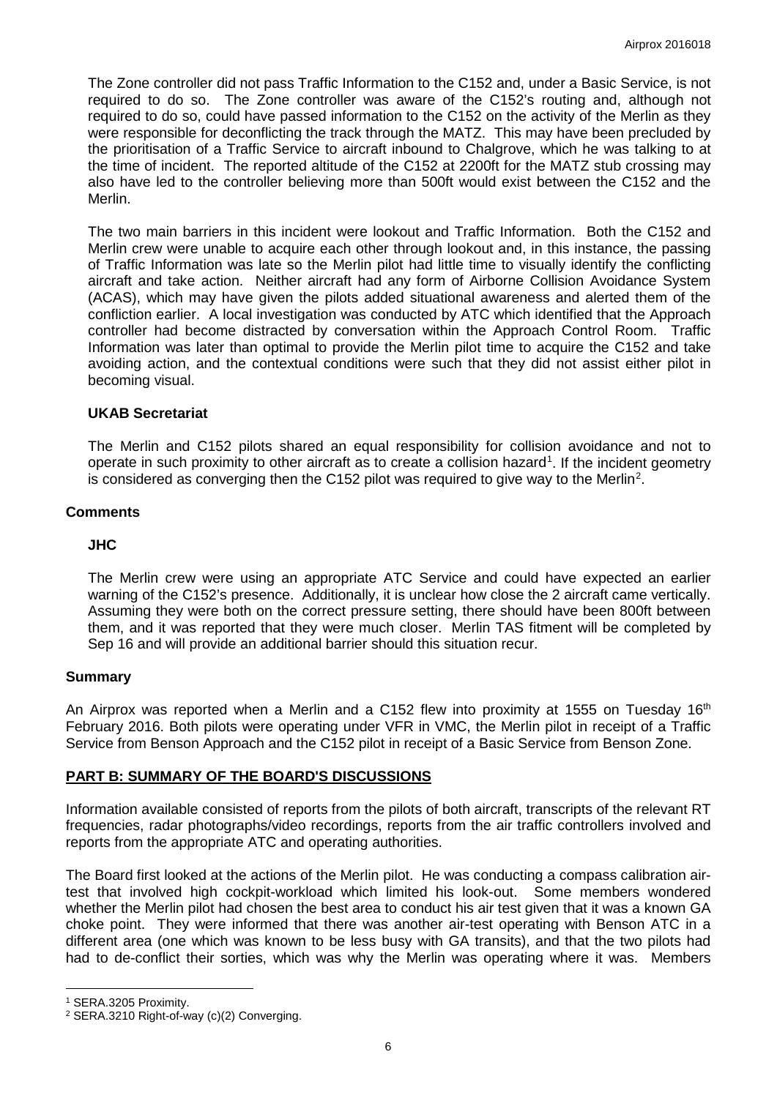The Zone controller did not pass Traffic Information to the C152 and, under a Basic Service, is not required to do so. The Zone controller was aware of the C152's routing and, although not required to do so, could have passed information to the C152 on the activity of the Merlin as they were responsible for deconflicting the track through the MATZ. This may have been precluded by the prioritisation of a Traffic Service to aircraft inbound to Chalgrove, which he was talking to at the time of incident. The reported altitude of the C152 at 2200ft for the MATZ stub crossing may also have led to the controller believing more than 500ft would exist between the C152 and the Merlin.

The two main barriers in this incident were lookout and Traffic Information. Both the C152 and Merlin crew were unable to acquire each other through lookout and, in this instance, the passing of Traffic Information was late so the Merlin pilot had little time to visually identify the conflicting aircraft and take action. Neither aircraft had any form of Airborne Collision Avoidance System (ACAS), which may have given the pilots added situational awareness and alerted them of the confliction earlier. A local investigation was conducted by ATC which identified that the Approach controller had become distracted by conversation within the Approach Control Room. Traffic Information was later than optimal to provide the Merlin pilot time to acquire the C152 and take avoiding action, and the contextual conditions were such that they did not assist either pilot in becoming visual.

## **UKAB Secretariat**

The Merlin and C152 pilots shared an equal responsibility for collision avoidance and not to operate in such proximity to other aircraft as to create a collision hazard<sup>[1](#page-5-0)</sup>. If the incident geometry is considered as converging then the C15[2](#page-5-1) pilot was required to give way to the Merlin<sup>2</sup>.

#### **Comments**

#### **JHC**

The Merlin crew were using an appropriate ATC Service and could have expected an earlier warning of the C152's presence. Additionally, it is unclear how close the 2 aircraft came vertically. Assuming they were both on the correct pressure setting, there should have been 800ft between them, and it was reported that they were much closer. Merlin TAS fitment will be completed by Sep 16 and will provide an additional barrier should this situation recur.

#### **Summary**

An Airprox was reported when a Merlin and a C152 flew into proximity at 1555 on Tuesday 16<sup>th</sup> February 2016. Both pilots were operating under VFR in VMC, the Merlin pilot in receipt of a Traffic Service from Benson Approach and the C152 pilot in receipt of a Basic Service from Benson Zone.

#### **PART B: SUMMARY OF THE BOARD'S DISCUSSIONS**

Information available consisted of reports from the pilots of both aircraft, transcripts of the relevant RT frequencies, radar photographs/video recordings, reports from the air traffic controllers involved and reports from the appropriate ATC and operating authorities.

The Board first looked at the actions of the Merlin pilot. He was conducting a compass calibration airtest that involved high cockpit-workload which limited his look-out. Some members wondered whether the Merlin pilot had chosen the best area to conduct his air test given that it was a known GA choke point. They were informed that there was another air-test operating with Benson ATC in a different area (one which was known to be less busy with GA transits), and that the two pilots had had to de-conflict their sorties, which was why the Merlin was operating where it was. Members

l

<span id="page-5-0"></span><sup>1</sup> SERA.3205 Proximity.

<span id="page-5-1"></span><sup>2</sup> SERA.3210 Right-of-way (c)(2) Converging.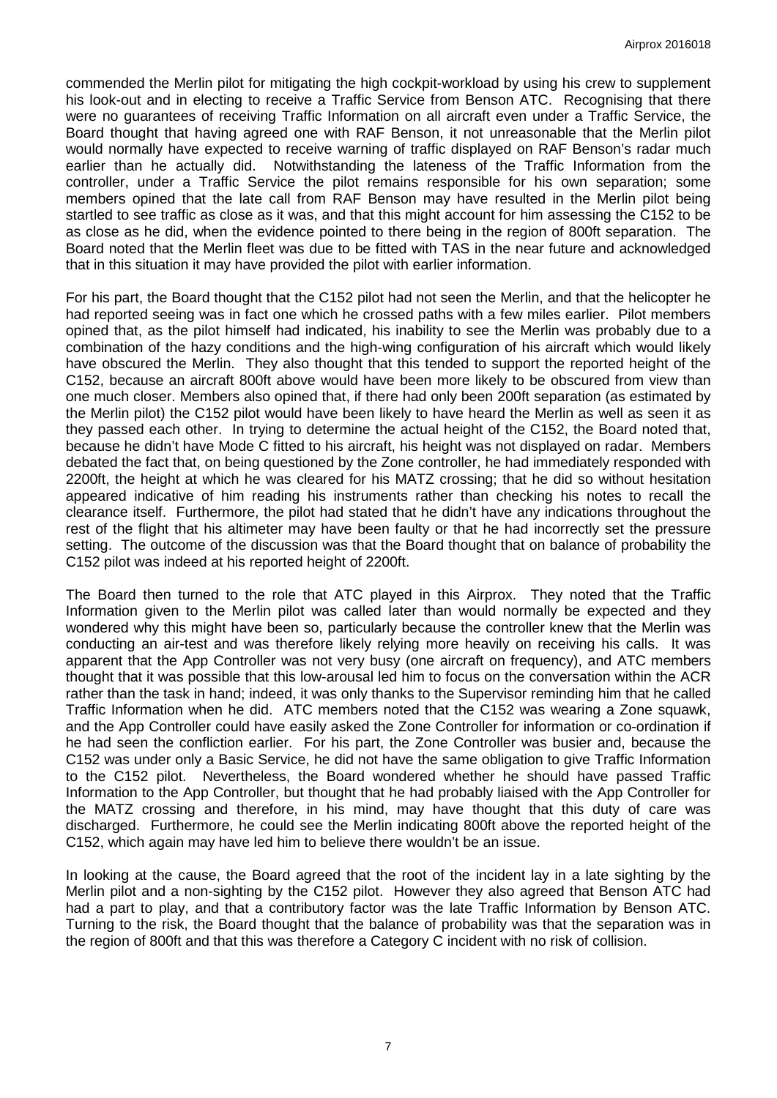commended the Merlin pilot for mitigating the high cockpit-workload by using his crew to supplement his look-out and in electing to receive a Traffic Service from Benson ATC. Recognising that there were no guarantees of receiving Traffic Information on all aircraft even under a Traffic Service, the Board thought that having agreed one with RAF Benson, it not unreasonable that the Merlin pilot would normally have expected to receive warning of traffic displayed on RAF Benson's radar much earlier than he actually did. Notwithstanding the lateness of the Traffic Information from the controller, under a Traffic Service the pilot remains responsible for his own separation; some members opined that the late call from RAF Benson may have resulted in the Merlin pilot being startled to see traffic as close as it was, and that this might account for him assessing the C152 to be as close as he did, when the evidence pointed to there being in the region of 800ft separation. The Board noted that the Merlin fleet was due to be fitted with TAS in the near future and acknowledged that in this situation it may have provided the pilot with earlier information.

For his part, the Board thought that the C152 pilot had not seen the Merlin, and that the helicopter he had reported seeing was in fact one which he crossed paths with a few miles earlier. Pilot members opined that, as the pilot himself had indicated, his inability to see the Merlin was probably due to a combination of the hazy conditions and the high-wing configuration of his aircraft which would likely have obscured the Merlin. They also thought that this tended to support the reported height of the C152, because an aircraft 800ft above would have been more likely to be obscured from view than one much closer. Members also opined that, if there had only been 200ft separation (as estimated by the Merlin pilot) the C152 pilot would have been likely to have heard the Merlin as well as seen it as they passed each other. In trying to determine the actual height of the C152, the Board noted that, because he didn't have Mode C fitted to his aircraft, his height was not displayed on radar. Members debated the fact that, on being questioned by the Zone controller, he had immediately responded with 2200ft, the height at which he was cleared for his MATZ crossing; that he did so without hesitation appeared indicative of him reading his instruments rather than checking his notes to recall the clearance itself. Furthermore, the pilot had stated that he didn't have any indications throughout the rest of the flight that his altimeter may have been faulty or that he had incorrectly set the pressure setting. The outcome of the discussion was that the Board thought that on balance of probability the C152 pilot was indeed at his reported height of 2200ft.

The Board then turned to the role that ATC played in this Airprox. They noted that the Traffic Information given to the Merlin pilot was called later than would normally be expected and they wondered why this might have been so, particularly because the controller knew that the Merlin was conducting an air-test and was therefore likely relying more heavily on receiving his calls. It was apparent that the App Controller was not very busy (one aircraft on frequency), and ATC members thought that it was possible that this low-arousal led him to focus on the conversation within the ACR rather than the task in hand; indeed, it was only thanks to the Supervisor reminding him that he called Traffic Information when he did. ATC members noted that the C152 was wearing a Zone squawk, and the App Controller could have easily asked the Zone Controller for information or co-ordination if he had seen the confliction earlier. For his part, the Zone Controller was busier and, because the C152 was under only a Basic Service, he did not have the same obligation to give Traffic Information to the C152 pilot. Nevertheless, the Board wondered whether he should have passed Traffic Information to the App Controller, but thought that he had probably liaised with the App Controller for the MATZ crossing and therefore, in his mind, may have thought that this duty of care was discharged. Furthermore, he could see the Merlin indicating 800ft above the reported height of the C152, which again may have led him to believe there wouldn't be an issue.

In looking at the cause, the Board agreed that the root of the incident lay in a late sighting by the Merlin pilot and a non-sighting by the C152 pilot. However they also agreed that Benson ATC had had a part to play, and that a contributory factor was the late Traffic Information by Benson ATC. Turning to the risk, the Board thought that the balance of probability was that the separation was in the region of 800ft and that this was therefore a Category C incident with no risk of collision.